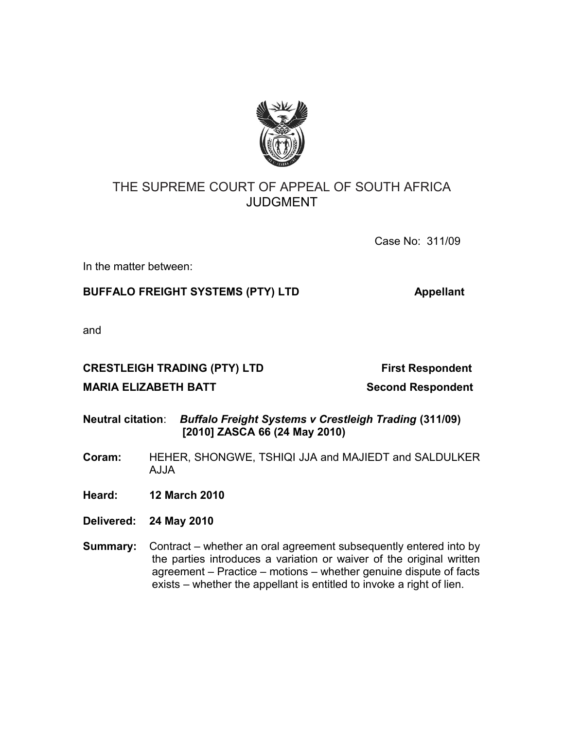

# THE SUPREME COURT OF APPEAL OF SOUTH AFRICA JUDGMENT

Case No: 311/09

In the matter between:

## **BUFFALO FREIGHT SYSTEMS (PTY) LTD Appellant**

and

## **CRESTLEIGH TRADING (PTY) LTD** First Respondent

## **MARIA ELIZABETH BATT** Second Respondent

- **Neutral citation**: *Buffalo Freight Systems v Crestleigh Trading* **(311/09) [2010] ZASCA 66 (24 May 2010)**
- **Coram:** HEHER, SHONGWE, TSHIQI JJA and MAJIEDT and SALDULKER A.J.JA

**Heard: 12 March 2010**

- **Delivered: 24 May 2010**
- **Summary:** Contract whether an oral agreement subsequently entered into by the parties introduces a variation or waiver of the original written agreement – Practice – motions – whether genuine dispute of facts exists – whether the appellant is entitled to invoke a right of lien.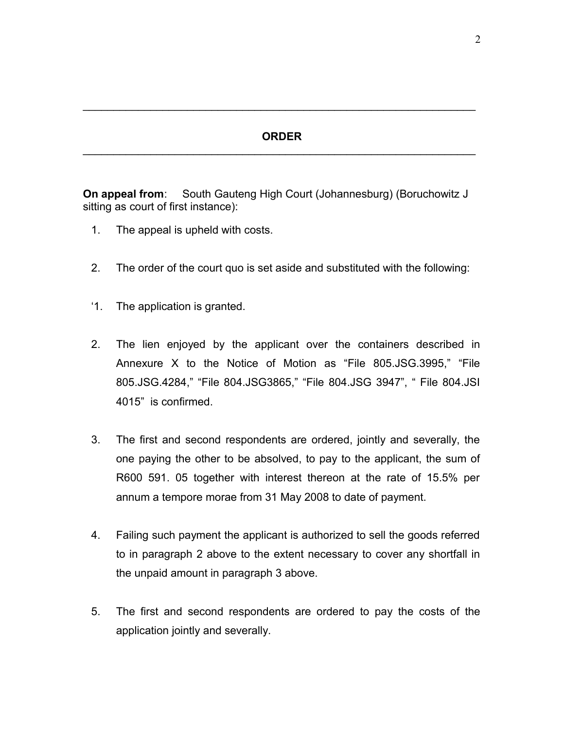### **ORDER**  $\mathcal{L}_\text{max} = \mathcal{L}_\text{max} = \mathcal{L}_\text{max} = \mathcal{L}_\text{max} = \mathcal{L}_\text{max} = \mathcal{L}_\text{max} = \mathcal{L}_\text{max} = \mathcal{L}_\text{max} = \mathcal{L}_\text{max} = \mathcal{L}_\text{max} = \mathcal{L}_\text{max} = \mathcal{L}_\text{max} = \mathcal{L}_\text{max} = \mathcal{L}_\text{max} = \mathcal{L}_\text{max} = \mathcal{L}_\text{max} = \mathcal{L}_\text{max} = \mathcal{L}_\text{max} = \mathcal{$

 $\mathcal{L}_\text{max}$  and  $\mathcal{L}_\text{max}$  and  $\mathcal{L}_\text{max}$  and  $\mathcal{L}_\text{max}$  and  $\mathcal{L}_\text{max}$  and  $\mathcal{L}_\text{max}$ 

**On appeal from:** South Gauteng High Court (Johannesburg) (Boruchowitz J sitting as court of first instance):

- 1. The appeal is upheld with costs.
- 2. The order of the court quo is set aside and substituted with the following:
- '1. The application is granted.
- 2. The lien enjoyed by the applicant over the containers described in Annexure X to the Notice of Motion as "File 805.JSG.3995," "File 805.JSG.4284," "File 804.JSG3865," "File 804.JSG 3947", " File 804.JSI 4015" is confirmed.
- 3. The first and second respondents are ordered, jointly and severally, the one paying the other to be absolved, to pay to the applicant, the sum of R600 591. 05 together with interest thereon at the rate of 15.5% per annum a tempore morae from 31 May 2008 to date of payment.
- 4. Failing such payment the applicant is authorized to sell the goods referred to in paragraph 2 above to the extent necessary to cover any shortfall in the unpaid amount in paragraph 3 above.
- 5. The first and second respondents are ordered to pay the costs of the application jointly and severally.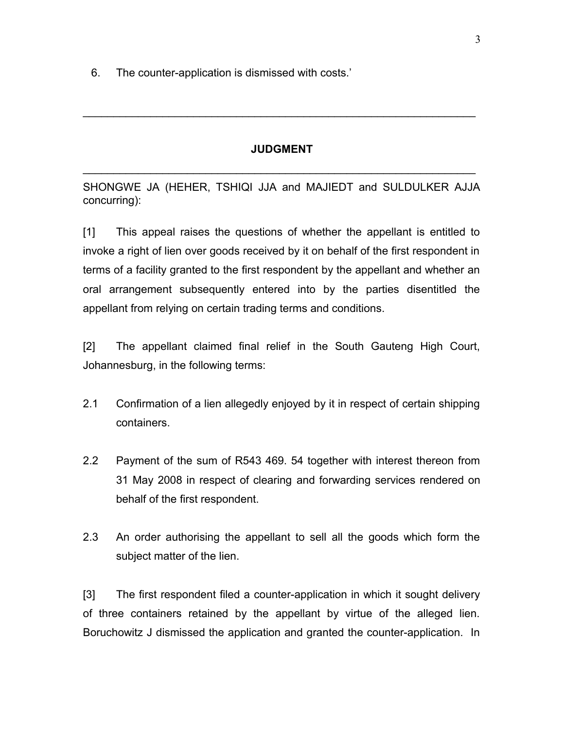6. The counter-application is dismissed with costs.'

### **JUDGMENT**

 $\mathcal{L}_\text{max}$  and  $\mathcal{L}_\text{max}$  and  $\mathcal{L}_\text{max}$  and  $\mathcal{L}_\text{max}$  and  $\mathcal{L}_\text{max}$  and  $\mathcal{L}_\text{max}$ 

 $\mathcal{L}_\text{max} = \mathcal{L}_\text{max} = \mathcal{L}_\text{max} = \mathcal{L}_\text{max} = \mathcal{L}_\text{max} = \mathcal{L}_\text{max} = \mathcal{L}_\text{max} = \mathcal{L}_\text{max} = \mathcal{L}_\text{max} = \mathcal{L}_\text{max} = \mathcal{L}_\text{max} = \mathcal{L}_\text{max} = \mathcal{L}_\text{max} = \mathcal{L}_\text{max} = \mathcal{L}_\text{max} = \mathcal{L}_\text{max} = \mathcal{L}_\text{max} = \mathcal{L}_\text{max} = \mathcal{$ 

SHONGWE JA (HEHER, TSHIQI JJA and MAJIEDT and SULDULKER AJJA concurring):

[1] This appeal raises the questions of whether the appellant is entitled to invoke a right of lien over goods received by it on behalf of the first respondent in terms of a facility granted to the first respondent by the appellant and whether an oral arrangement subsequently entered into by the parties disentitled the appellant from relying on certain trading terms and conditions.

[2] The appellant claimed final relief in the South Gauteng High Court, Johannesburg, in the following terms:

- 2.1 Confirmation of a lien allegedly enjoyed by it in respect of certain shipping containers.
- 2.2 Payment of the sum of R543 469. 54 together with interest thereon from 31 May 2008 in respect of clearing and forwarding services rendered on behalf of the first respondent.
- 2.3 An order authorising the appellant to sell all the goods which form the subject matter of the lien.

[3] The first respondent filed a counter-application in which it sought delivery of three containers retained by the appellant by virtue of the alleged lien. Boruchowitz J dismissed the application and granted the counter-application. In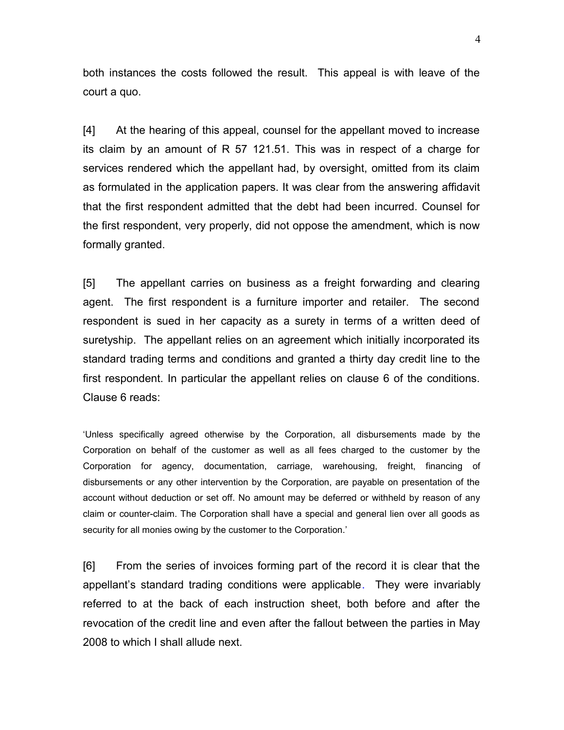both instances the costs followed the result. This appeal is with leave of the court a quo.

[4] At the hearing of this appeal, counsel for the appellant moved to increase its claim by an amount of R 57 121.51. This was in respect of a charge for services rendered which the appellant had, by oversight, omitted from its claim as formulated in the application papers. It was clear from the answering affidavit that the first respondent admitted that the debt had been incurred. Counsel for the first respondent, very properly, did not oppose the amendment, which is now formally granted.

[5] The appellant carries on business as a freight forwarding and clearing agent. The first respondent is a furniture importer and retailer. The second respondent is sued in her capacity as a surety in terms of a written deed of suretyship. The appellant relies on an agreement which initially incorporated its standard trading terms and conditions and granted a thirty day credit line to the first respondent. In particular the appellant relies on clause 6 of the conditions. Clause 6 reads:

'Unless specifically agreed otherwise by the Corporation, all disbursements made by the Corporation on behalf of the customer as well as all fees charged to the customer by the Corporation for agency, documentation, carriage, warehousing, freight, financing of disbursements or any other intervention by the Corporation, are payable on presentation of the account without deduction or set off. No amount may be deferred or withheld by reason of any claim or counter-claim. The Corporation shall have a special and general lien over all goods as security for all monies owing by the customer to the Corporation.'

[6] From the series of invoices forming part of the record it is clear that the appellant's standard trading conditions were applicable. They were invariably referred to at the back of each instruction sheet, both before and after the revocation of the credit line and even after the fallout between the parties in May 2008 to which I shall allude next.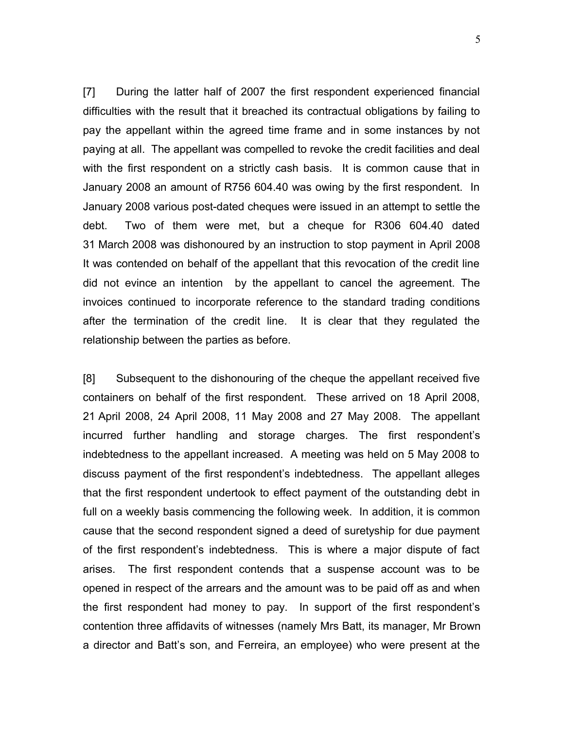[7] During the latter half of 2007 the first respondent experienced financial difficulties with the result that it breached its contractual obligations by failing to pay the appellant within the agreed time frame and in some instances by not paying at all. The appellant was compelled to revoke the credit facilities and deal with the first respondent on a strictly cash basis. It is common cause that in January 2008 an amount of R756 604.40 was owing by the first respondent. In January 2008 various post-dated cheques were issued in an attempt to settle the debt. Two of them were met, but a cheque for R306 604.40 dated 31 March 2008 was dishonoured by an instruction to stop payment in April 2008 It was contended on behalf of the appellant that this revocation of the credit line did not evince an intention by the appellant to cancel the agreement. The invoices continued to incorporate reference to the standard trading conditions after the termination of the credit line. It is clear that they regulated the relationship between the parties as before.

[8] Subsequent to the dishonouring of the cheque the appellant received five containers on behalf of the first respondent. These arrived on 18 April 2008, 21 April 2008, 24 April 2008, 11 May 2008 and 27 May 2008. The appellant incurred further handling and storage charges. The first respondent's indebtedness to the appellant increased. A meeting was held on 5 May 2008 to discuss payment of the first respondent's indebtedness. The appellant alleges that the first respondent undertook to effect payment of the outstanding debt in full on a weekly basis commencing the following week. In addition, it is common cause that the second respondent signed a deed of suretyship for due payment of the first respondent's indebtedness. This is where a major dispute of fact arises. The first respondent contends that a suspense account was to be opened in respect of the arrears and the amount was to be paid off as and when the first respondent had money to pay. In support of the first respondent's contention three affidavits of witnesses (namely Mrs Batt, its manager, Mr Brown a director and Batt's son, and Ferreira, an employee) who were present at the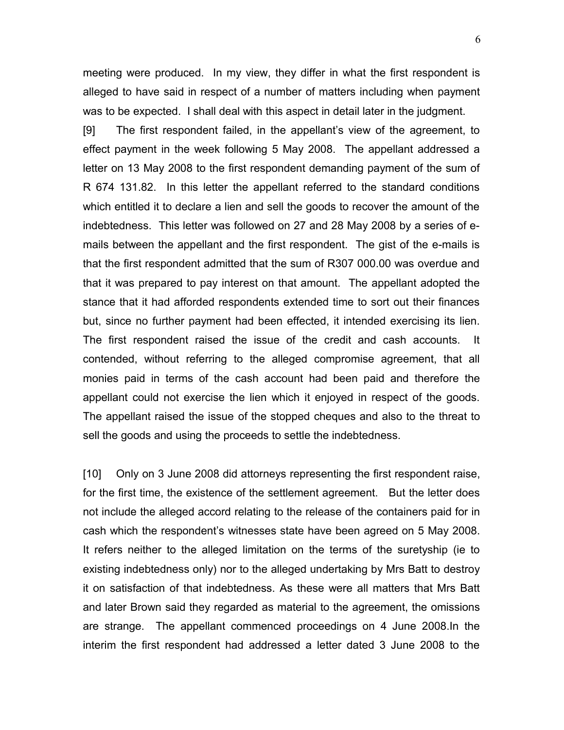meeting were produced. In my view, they differ in what the first respondent is alleged to have said in respect of a number of matters including when payment was to be expected. I shall deal with this aspect in detail later in the judgment.

[9] The first respondent failed, in the appellant's view of the agreement, to effect payment in the week following 5 May 2008. The appellant addressed a letter on 13 May 2008 to the first respondent demanding payment of the sum of R 674 131.82. In this letter the appellant referred to the standard conditions which entitled it to declare a lien and sell the goods to recover the amount of the indebtedness. This letter was followed on 27 and 28 May 2008 by a series of emails between the appellant and the first respondent. The gist of the e-mails is that the first respondent admitted that the sum of R307 000.00 was overdue and that it was prepared to pay interest on that amount. The appellant adopted the stance that it had afforded respondents extended time to sort out their finances but, since no further payment had been effected, it intended exercising its lien. The first respondent raised the issue of the credit and cash accounts. It contended, without referring to the alleged compromise agreement, that all monies paid in terms of the cash account had been paid and therefore the appellant could not exercise the lien which it enjoyed in respect of the goods. The appellant raised the issue of the stopped cheques and also to the threat to sell the goods and using the proceeds to settle the indebtedness.

[10] Only on 3 June 2008 did attorneys representing the first respondent raise, for the first time, the existence of the settlement agreement. But the letter does not include the alleged accord relating to the release of the containers paid for in cash which the respondent's witnesses state have been agreed on 5 May 2008. It refers neither to the alleged limitation on the terms of the suretyship (ie to existing indebtedness only) nor to the alleged undertaking by Mrs Batt to destroy it on satisfaction of that indebtedness. As these were all matters that Mrs Batt and later Brown said they regarded as material to the agreement, the omissions are strange. The appellant commenced proceedings on 4 June 2008.In the interim the first respondent had addressed a letter dated 3 June 2008 to the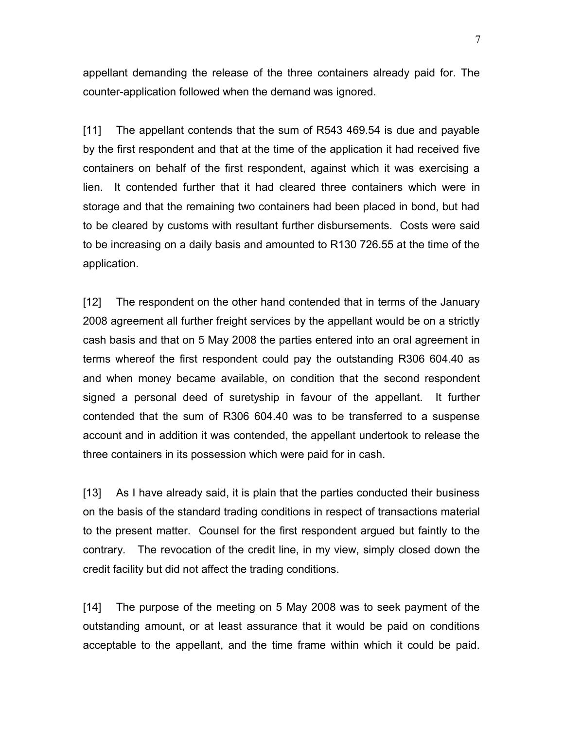appellant demanding the release of the three containers already paid for. The counter-application followed when the demand was ignored.

[11] The appellant contends that the sum of R543 469.54 is due and payable by the first respondent and that at the time of the application it had received five containers on behalf of the first respondent, against which it was exercising a lien. It contended further that it had cleared three containers which were in storage and that the remaining two containers had been placed in bond, but had to be cleared by customs with resultant further disbursements. Costs were said to be increasing on a daily basis and amounted to R130 726.55 at the time of the application.

[12] The respondent on the other hand contended that in terms of the January 2008 agreement all further freight services by the appellant would be on a strictly cash basis and that on 5 May 2008 the parties entered into an oral agreement in terms whereof the first respondent could pay the outstanding R306 604.40 as and when money became available, on condition that the second respondent signed a personal deed of suretyship in favour of the appellant. It further contended that the sum of R306 604.40 was to be transferred to a suspense account and in addition it was contended, the appellant undertook to release the three containers in its possession which were paid for in cash.

[13] As I have already said, it is plain that the parties conducted their business on the basis of the standard trading conditions in respect of transactions material to the present matter. Counsel for the first respondent argued but faintly to the contrary. The revocation of the credit line, in my view, simply closed down the credit facility but did not affect the trading conditions.

[14] The purpose of the meeting on 5 May 2008 was to seek payment of the outstanding amount, or at least assurance that it would be paid on conditions acceptable to the appellant, and the time frame within which it could be paid.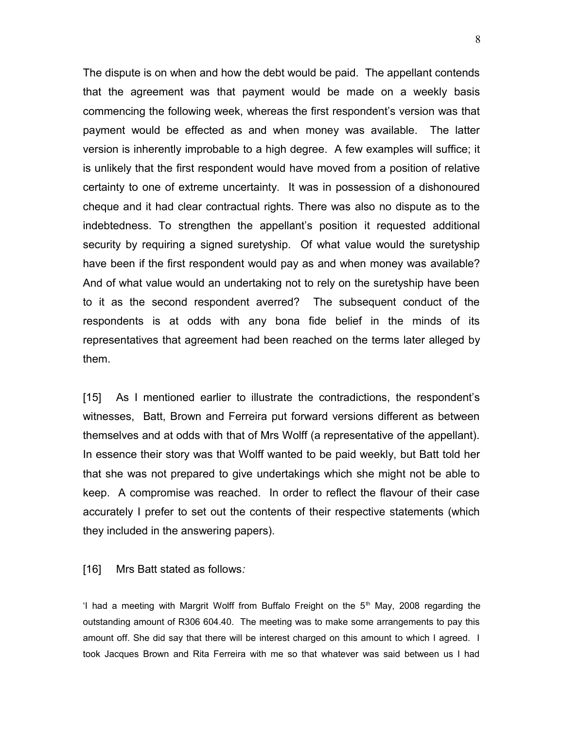The dispute is on when and how the debt would be paid. The appellant contends that the agreement was that payment would be made on a weekly basis commencing the following week, whereas the first respondent's version was that payment would be effected as and when money was available. The latter version is inherently improbable to a high degree. A few examples will suffice; it is unlikely that the first respondent would have moved from a position of relative certainty to one of extreme uncertainty. It was in possession of a dishonoured cheque and it had clear contractual rights. There was also no dispute as to the indebtedness. To strengthen the appellant's position it requested additional security by requiring a signed suretyship. Of what value would the suretyship have been if the first respondent would pay as and when money was available? And of what value would an undertaking not to rely on the suretyship have been to it as the second respondent averred? The subsequent conduct of the respondents is at odds with any bona fide belief in the minds of its representatives that agreement had been reached on the terms later alleged by them.

[15] As I mentioned earlier to illustrate the contradictions, the respondent's witnesses, Batt, Brown and Ferreira put forward versions different as between themselves and at odds with that of Mrs Wolff (a representative of the appellant). In essence their story was that Wolff wanted to be paid weekly, but Batt told her that she was not prepared to give undertakings which she might not be able to keep. A compromise was reached. In order to reflect the flavour of their case accurately I prefer to set out the contents of their respective statements (which they included in the answering papers).

[16] Mrs Batt stated as follows*:*

'I had a meeting with Margrit Wolff from Buffalo Freight on the  $5<sup>th</sup>$  May, 2008 regarding the outstanding amount of R306 604.40. The meeting was to make some arrangements to pay this amount off. She did say that there will be interest charged on this amount to which I agreed. I took Jacques Brown and Rita Ferreira with me so that whatever was said between us I had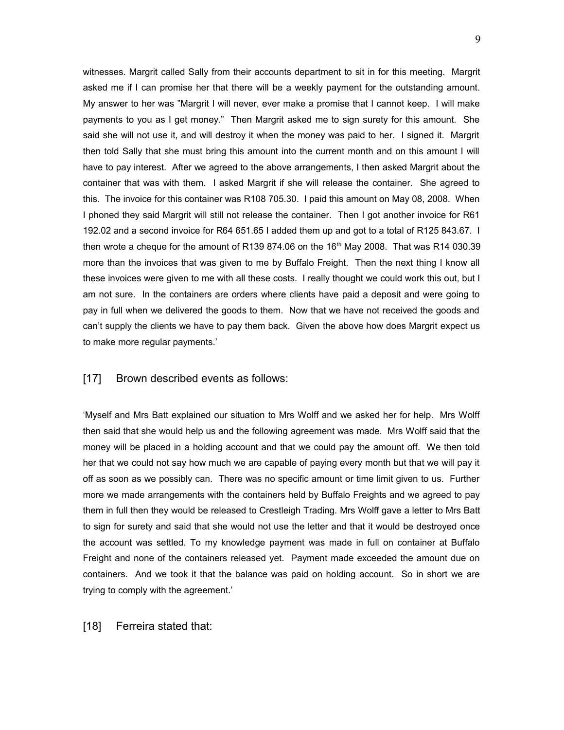witnesses. Margrit called Sally from their accounts department to sit in for this meeting. Margrit asked me if I can promise her that there will be a weekly payment for the outstanding amount. My answer to her was "Margrit I will never, ever make a promise that I cannot keep. I will make payments to you as I get money." Then Margrit asked me to sign surety for this amount. She said she will not use it, and will destroy it when the money was paid to her. I signed it. Margrit then told Sally that she must bring this amount into the current month and on this amount I will have to pay interest. After we agreed to the above arrangements, I then asked Margrit about the container that was with them. I asked Margrit if she will release the container. She agreed to this. The invoice for this container was R108 705.30. I paid this amount on May 08, 2008. When I phoned they said Margrit will still not release the container. Then I got another invoice for R61 192.02 and a second invoice for R64 651.65 I added them up and got to a total of R125 843.67. I then wrote a cheque for the amount of R139 874.06 on the  $16<sup>th</sup>$  May 2008. That was R14 030.39 more than the invoices that was given to me by Buffalo Freight. Then the next thing I know all these invoices were given to me with all these costs. I really thought we could work this out, but I am not sure. In the containers are orders where clients have paid a deposit and were going to pay in full when we delivered the goods to them. Now that we have not received the goods and can't supply the clients we have to pay them back. Given the above how does Margrit expect us to make more regular payments.'

#### [17] Brown described events as follows:

'Myself and Mrs Batt explained our situation to Mrs Wolff and we asked her for help. Mrs Wolff then said that she would help us and the following agreement was made. Mrs Wolff said that the money will be placed in a holding account and that we could pay the amount off. We then told her that we could not say how much we are capable of paying every month but that we will pay it off as soon as we possibly can. There was no specific amount or time limit given to us. Further more we made arrangements with the containers held by Buffalo Freights and we agreed to pay them in full then they would be released to Crestleigh Trading. Mrs Wolff gave a letter to Mrs Batt to sign for surety and said that she would not use the letter and that it would be destroyed once the account was settled. To my knowledge payment was made in full on container at Buffalo Freight and none of the containers released yet. Payment made exceeded the amount due on containers. And we took it that the balance was paid on holding account. So in short we are trying to comply with the agreement.'

#### [18] Ferreira stated that: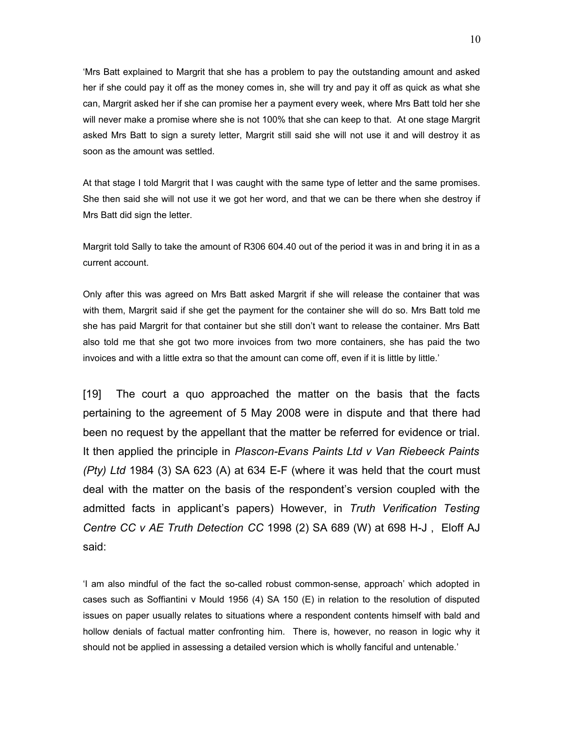'Mrs Batt explained to Margrit that she has a problem to pay the outstanding amount and asked her if she could pay it off as the money comes in, she will try and pay it off as quick as what she can, Margrit asked her if she can promise her a payment every week, where Mrs Batt told her she will never make a promise where she is not 100% that she can keep to that. At one stage Margrit asked Mrs Batt to sign a surety letter, Margrit still said she will not use it and will destroy it as soon as the amount was settled.

At that stage I told Margrit that I was caught with the same type of letter and the same promises. She then said she will not use it we got her word, and that we can be there when she destroy if Mrs Batt did sign the letter.

Margrit told Sally to take the amount of R306 604.40 out of the period it was in and bring it in as a current account.

Only after this was agreed on Mrs Batt asked Margrit if she will release the container that was with them, Margrit said if she get the payment for the container she will do so. Mrs Batt told me she has paid Margrit for that container but she still don't want to release the container. Mrs Batt also told me that she got two more invoices from two more containers, she has paid the two invoices and with a little extra so that the amount can come off, even if it is little by little.'

[19] The court a quo approached the matter on the basis that the facts pertaining to the agreement of 5 May 2008 were in dispute and that there had been no request by the appellant that the matter be referred for evidence or trial. It then applied the principle in *Plascon-Evans Paints Ltd v Van Riebeeck Paints (Pty) Ltd* 1984 (3) SA 623 (A) at 634 E-F (where it was held that the court must deal with the matter on the basis of the respondent's version coupled with the admitted facts in applicant's papers) However, in *Truth Verification Testing Centre CC v AE Truth Detection CC* 1998 (2) SA 689 (W) at 698 H-J , Eloff AJ said:

'I am also mindful of the fact the so-called robust common-sense, approach' which adopted in cases such as Soffiantini v Mould 1956 (4) SA 150 (E) in relation to the resolution of disputed issues on paper usually relates to situations where a respondent contents himself with bald and hollow denials of factual matter confronting him. There is, however, no reason in logic why it should not be applied in assessing a detailed version which is wholly fanciful and untenable.'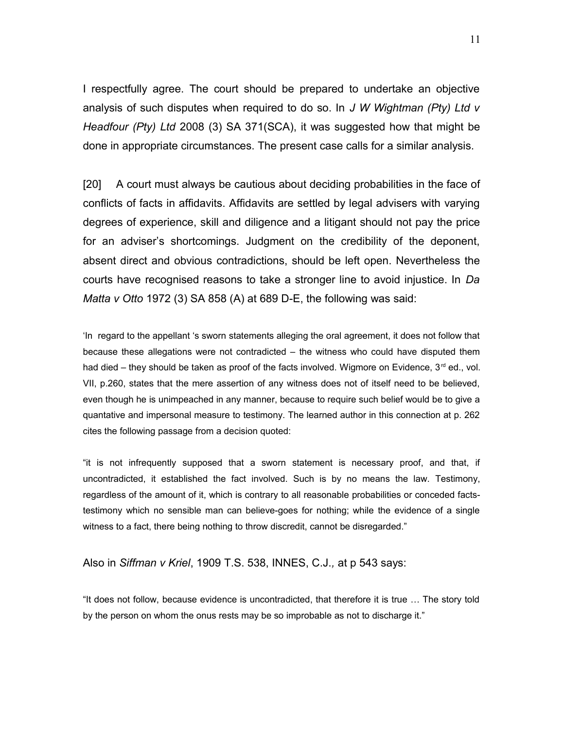I respectfully agree. The court should be prepared to undertake an objective analysis of such disputes when required to do so. In *J W Wightman (Pty) Ltd v Headfour (Pty) Ltd* 2008 (3) SA 371(SCA), it was suggested how that might be done in appropriate circumstances. The present case calls for a similar analysis.

[20] A court must always be cautious about deciding probabilities in the face of conflicts of facts in affidavits. Affidavits are settled by legal advisers with varying degrees of experience, skill and diligence and a litigant should not pay the price for an adviser's shortcomings. Judgment on the credibility of the deponent, absent direct and obvious contradictions, should be left open. Nevertheless the courts have recognised reasons to take a stronger line to avoid injustice. In *Da Matta v Otto* 1972 (3) SA 858 (A) at 689 D-E, the following was said:

'In regard to the appellant 's sworn statements alleging the oral agreement, it does not follow that because these allegations were not contradicted – the witness who could have disputed them had died – they should be taken as proof of the facts involved. Wigmore on Evidence,  $3<sup>rd</sup>$  ed., vol. VII, p.260, states that the mere assertion of any witness does not of itself need to be believed, even though he is unimpeached in any manner, because to require such belief would be to give a quantative and impersonal measure to testimony. The learned author in this connection at p. 262 cites the following passage from a decision quoted:

"it is not infrequently supposed that a sworn statement is necessary proof, and that, if uncontradicted, it established the fact involved. Such is by no means the law. Testimony, regardless of the amount of it, which is contrary to all reasonable probabilities or conceded factstestimony which no sensible man can believe-goes for nothing; while the evidence of a single witness to a fact, there being nothing to throw discredit, cannot be disregarded."

Also in *Siffman v Kriel*, 1909 T.S. 538, INNES, C.J.*,* at p 543 says:

"It does not follow, because evidence is uncontradicted, that therefore it is true … The story told by the person on whom the onus rests may be so improbable as not to discharge it."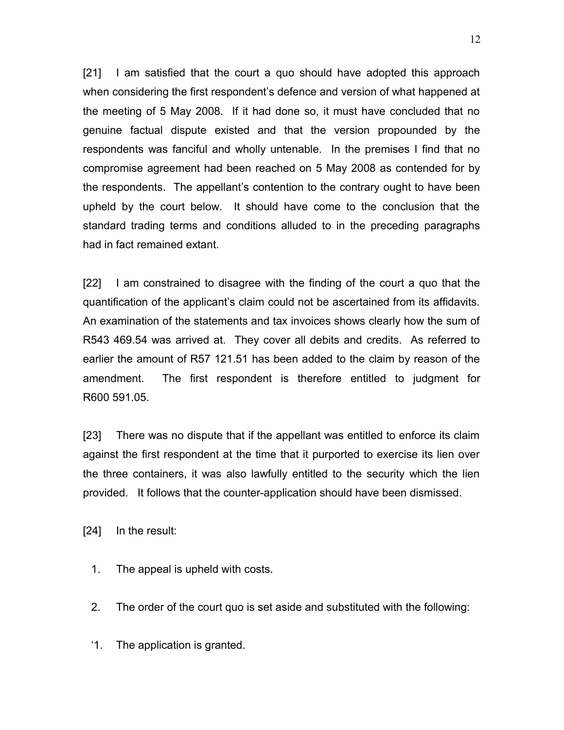[21] I am satisfied that the court a quo should have adopted this approach when considering the first respondent's defence and version of what happened at the meeting of 5 May 2008. If it had done so, it must have concluded that no genuine factual dispute existed and that the version propounded by the respondents was fanciful and wholly untenable. In the premises I find that no compromise agreement had been reached on 5 May 2008 as contended for by the respondents. The appellant's contention to the contrary ought to have been upheld by the court below. It should have come to the conclusion that the standard trading terms and conditions alluded to in the preceding paragraphs had in fact remained extant.

[22] I am constrained to disagree with the finding of the court a quo that the quantification of the applicant's claim could not be ascertained from its affidavits. An examination of the statements and tax invoices shows clearly how the sum of R543 469.54 was arrived at. They cover all debits and credits. As referred to earlier the amount of R57 121.51 has been added to the claim by reason of the amendment. The first respondent is therefore entitled to judgment for R600 591.05.

[23] There was no dispute that if the appellant was entitled to enforce its claim against the first respondent at the time that it purported to exercise its lien over the three containers, it was also lawfully entitled to the security which the lien provided. It follows that the counter-application should have been dismissed.

[24] In the result:

- 1. The appeal is upheld with costs.
- 2. The order of the court quo is set aside and substituted with the following:
- '1. The application is granted.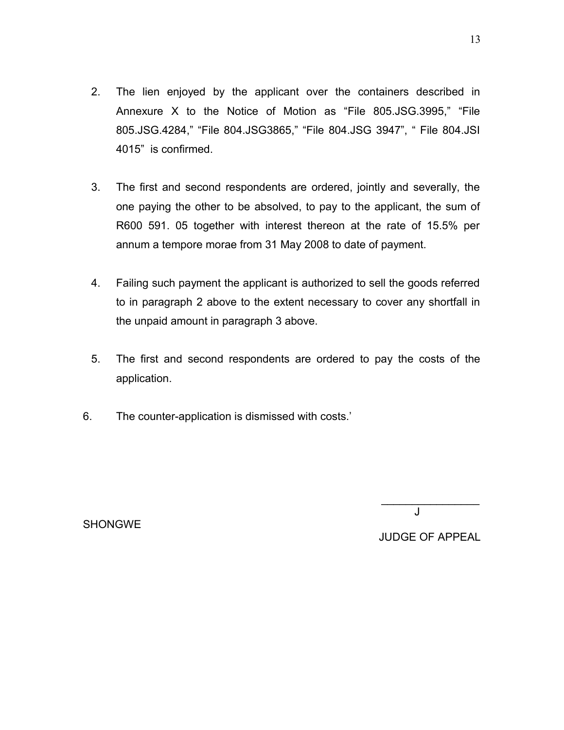- 2. The lien enjoyed by the applicant over the containers described in Annexure X to the Notice of Motion as "File 805.JSG.3995," "File 805.JSG.4284," "File 804.JSG3865," "File 804.JSG 3947", " File 804.JSI 4015" is confirmed.
- 3. The first and second respondents are ordered, jointly and severally, the one paying the other to be absolved, to pay to the applicant, the sum of R600 591. 05 together with interest thereon at the rate of 15.5% per annum a tempore morae from 31 May 2008 to date of payment.
- 4. Failing such payment the applicant is authorized to sell the goods referred to in paragraph 2 above to the extent necessary to cover any shortfall in the unpaid amount in paragraph 3 above.
- 5. The first and second respondents are ordered to pay the costs of the application.

de la provincia de la provincia de la provincia de la provincia de la provincia de la provincia de la provinci

6. The counter-application is dismissed with costs.'

**SHONGWE** 

JUDGE OF APPEAL

 $\frac{1}{2}$